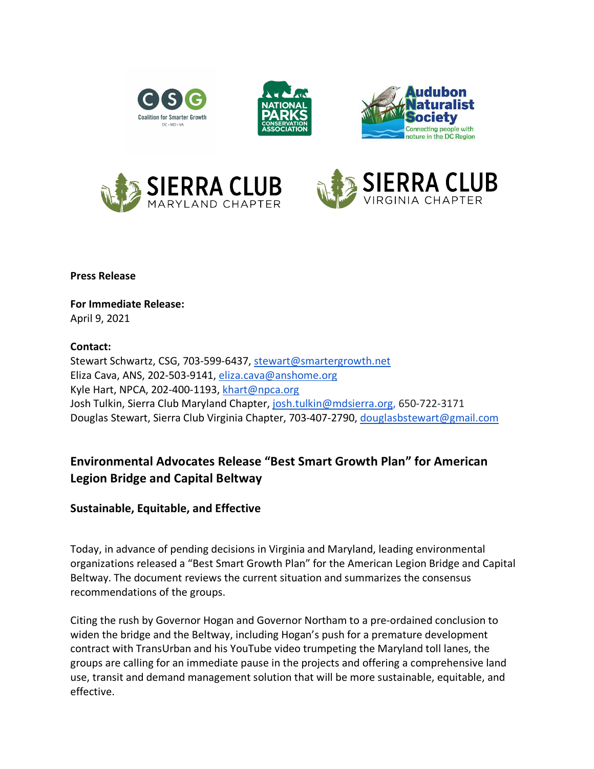







**Press Release**

**For Immediate Release:** April 9, 2021

## **Contact:**

Stewart Schwartz, CSG, 703-599-6437, stewart@smartergrowth.net Eliza Cava, ANS, 202-503-9141, eliza.cava@anshome.org Kyle Hart, NPCA, 202-400-1193, khart@npca.org Josh Tulkin, Sierra Club Maryland Chapter, josh.tulkin@mdsierra.org, 650-722-3171 Douglas Stewart, Sierra Club Virginia Chapter, 703-407-2790, douglasbstewart@gmail.com

## **Environmental Advocates Release "Best Smart Growth Plan" for American Legion Bridge and Capital Beltway**

## **Sustainable, Equitable, and Effective**

Today, in advance of pending decisions in Virginia and Maryland, leading environmental organizations released a "Best Smart Growth Plan" for the American Legion Bridge and Capital Beltway. The document reviews the current situation and summarizes the consensus recommendations of the groups.

Citing the rush by Governor Hogan and Governor Northam to a pre-ordained conclusion to widen the bridge and the Beltway, including Hogan's push for a premature development contract with TransUrban and his YouTube video trumpeting the Maryland toll lanes, the groups are calling for an immediate pause in the projects and offering a comprehensive land use, transit and demand management solution that will be more sustainable, equitable, and effective.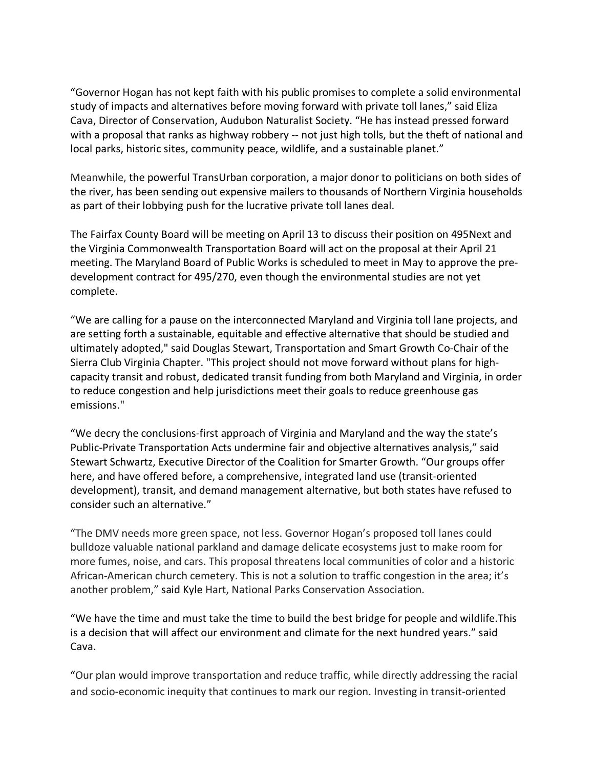"Governor Hogan has not kept faith with his public promises to complete a solid environmental study of impacts and alternatives before moving forward with private toll lanes," said Eliza Cava, Director of Conservation, Audubon Naturalist Society. "He has instead pressed forward with a proposal that ranks as highway robbery -- not just high tolls, but the theft of national and local parks, historic sites, community peace, wildlife, and a sustainable planet."

Meanwhile, the powerful TransUrban corporation, a major donor to politicians on both sides of the river, has been sending out expensive mailers to thousands of Northern Virginia households as part of their lobbying push for the lucrative private toll lanes deal.

The Fairfax County Board will be meeting on April 13 to discuss their position on 495Next and the Virginia Commonwealth Transportation Board will act on the proposal at their April 21 meeting. The Maryland Board of Public Works is scheduled to meet in May to approve the predevelopment contract for 495/270, even though the environmental studies are not yet complete.

"We are calling for a pause on the interconnected Maryland and Virginia toll lane projects, and are setting forth a sustainable, equitable and effective alternative that should be studied and ultimately adopted," said Douglas Stewart, Transportation and Smart Growth Co-Chair of the Sierra Club Virginia Chapter. "This project should not move forward without plans for highcapacity transit and robust, dedicated transit funding from both Maryland and Virginia, in order to reduce congestion and help jurisdictions meet their goals to reduce greenhouse gas emissions."

"We decry the conclusions-first approach of Virginia and Maryland and the way the state's Public-Private Transportation Acts undermine fair and objective alternatives analysis," said Stewart Schwartz, Executive Director of the Coalition for Smarter Growth. "Our groups offer here, and have offered before, a comprehensive, integrated land use (transit-oriented development), transit, and demand management alternative, but both states have refused to consider such an alternative."

"The DMV needs more green space, not less. Governor Hogan's proposed toll lanes could bulldoze valuable national parkland and damage delicate ecosystems just to make room for more fumes, noise, and cars. This proposal threatens local communities of color and a historic African-American church cemetery. This is not a solution to traffic congestion in the area; it's another problem," said Kyle Hart, National Parks Conservation Association.

"We have the time and must take the time to build the best bridge for people and wildlife.This is a decision that will affect our environment and climate for the next hundred years." said Cava.

"Our plan would improve transportation and reduce traffic, while directly addressing the racial and socio-economic inequity that continues to mark our region. Investing in transit-oriented